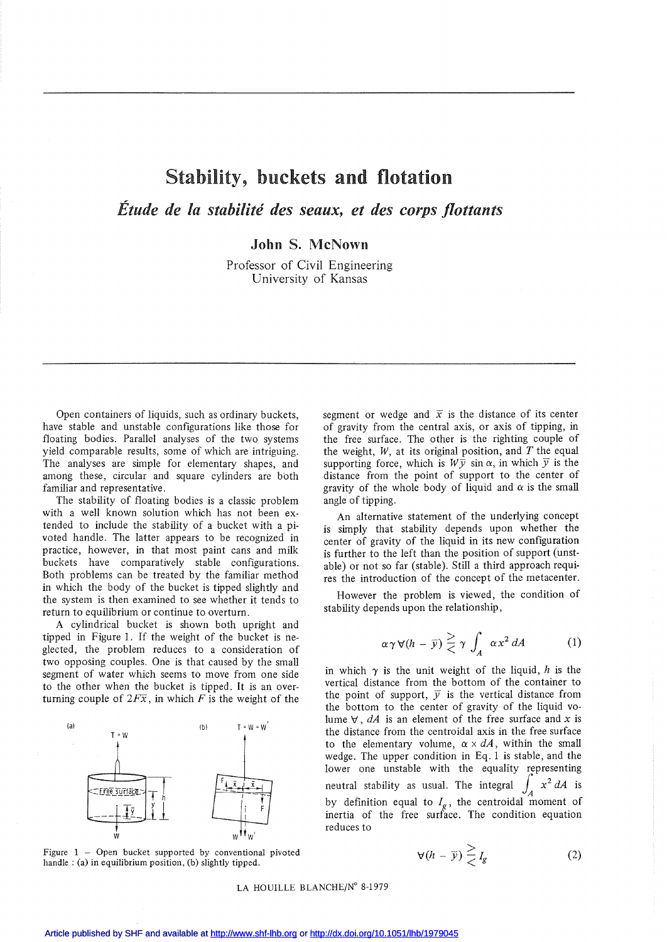## Stability, buckets and flotation

*Étude de la stabilité des seaux, et des corps flottants*

John S. McNown

Professor of Civil Engineering University of Kansas

Open containers of liquids, such as ordinary buckets, have stable and unstable configurations like those for floating bodies. Parallel analyses of the two systems yield comparable results, some of which are intriguing. The analyses are simple for elementary shapes, and among these, circular and square cylinders are both familiar and representative.

The stability of floating bodies is a classic problem with a well known solution which has not been extended to include the stability of a bucket with a pivoted handle. The latter appears to be recognized in practice, however, in that most paint cans and milk buckets have comparatively stable configurations. Both problems can be treated by the familiar method in which the body of the bucket is tipped slightly and the system is then examined to see whether it tends to return to equilibrium or continue to overturn.

A cylindrical bucket is shown both upright and tippeù in Figure 1. If the weight of the bucket is neglected, the problem reduces to a consideration of two opposing couples. One is that caused by the small segment of water which seems to move from one side to the other when the bucket is tipped. It is an overturning couple of  $2F\overline{x}$ , in which *F* is the weight of the



Figure  $1 -$  Open bucket supported by conventional pivoted handle : (a) in equilibrium position, (b) slightly tipped.

segment or wedge and  $\bar{x}$  is the distance of its center of gravity from the central axis, or axis of tipping, in the free surface. The other is the righting couple of the weight, *W,* at its original position, and *T* the equal supporting force, which is  $W\bar{y}$  sin  $\alpha$ , in which  $\bar{y}$  is the distance from the point of support to the center of gravity of the whole body of liquid and  $\alpha$  is the small angle of tipping.

An alternative statement of the underlying concept is simply that stability depends upon whether the center of gravity of the liquid in its new configuration is further to the left than the position of support (unstable) or not so far (stable). Still a third approach requires the introduction of the concept of the metacenter.

However the problem is viewed, the condition of stability depends upon the relationship,

$$
\alpha \gamma \forall (h - \bar{y}) \geq \gamma \int_A \alpha x^2 dA \qquad (1)
$$

in which  $\gamma$  is the unit weight of the liquid, h is the vertical distance from the bottom of the container to the point of support,  $\overline{y}$  is the vertical distance from the bottom to the center of gravity of the liquid volume  $\forall$ , dA is an element of the free surface and x is the distance from the centroidal axis in the free surface to the elementary volume,  $\alpha \times dA$ , within the small wedge. The upper condition in Eq. 1 is stable, and the lower one unstable with the equality representing lower one unstable with the equality representing<br>neutral stability as usual. The integral  $\int_A x^2 dA$  is by definition equal to  $I_g$ , the centroidal moment of inertia of the free surface. The condition equation reduces to

$$
\forall (h - \overline{y}) \overset{\ge}{\le} I_g \tag{2}
$$

## LA HOUILLE BLANCHE/N° 8-1979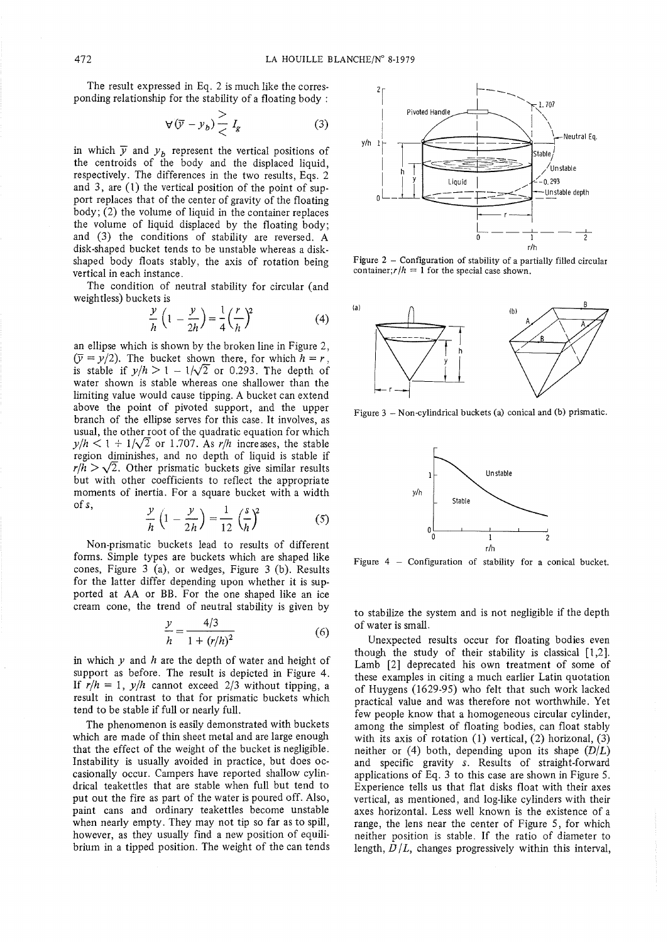The result expressed in Eq. 2 is much like the corresponding relationship for the stability of a floating body:

$$
\forall (\overline{y} - y_b) \frac{>}{<} I_g \tag{3}
$$

in which  $\bar{y}$  and  $y_b$  represent the vertical positions of the centroids of the body and the displaced liquid, respectively. The differences in the two results, Eqs. 2 and 3, are  $(1)$  the vertical position of the point of support replaces that of the center of gravity of the floating body; (2) the volume of liquid in the container replaces the volume of liquid displaced by the floating body; and (3) the conditions of stability are reversed. A disk-shaped bucket tends to be unstable whereas a diskshaped body floats stably, the axis of rotation being vertical in each instance.

The condition of neutral stability for circular (and weightless) buckets is

$$
\frac{y}{h}\left(1-\frac{y}{2h}\right)=\frac{1}{4}\left(\frac{r}{h}\right)^2\tag{4}
$$

an ellipse which is shown by the broken line in Figure 2,  $(\overline{y} = y/2)$ . The bucket shown there, for which  $h = r$ . is stable if  $y/h > 1 - 1/\sqrt{2}$  or 0.293. The depth of water shown is stable whereas one shallower than the limiting value would cause tipping. A bucket can extend above the point of pivoted support, and the upper branch of the ellipse serves for this case. It involves, as usual, the other root of the quadratic equation for which  $y/h < 1 + 1/\sqrt{2}$  or 1.707. As r/h increases, the stable region diminishes, and no depth of liquid is stable if  $r/h > \sqrt{2}$ . Other prismatic buckets give similar results but with other coefficients to reflect the appropriate moments of inertia. For a square bucket with a width of s,

$$
\frac{y}{h}\left(1-\frac{y}{2h}\right)=\frac{1}{12}\left(\frac{s}{h}\right)^2\tag{5}
$$

Non-prismatic buckets lead to results of different forms. Simple types are buckets which are shaped like cones, Figure 3 (a), or wedges, Figure 3 (b). Results for the latter differ depending upon whether it is supported at AA or BB. For the one shaped like an ice cream cone, the trend of neutral stability is given by

$$
\frac{y}{h} = \frac{4/3}{1 + (r/h)^2} \tag{6}
$$

in which  $y$  and  $h$  are the depth of water and height of support as before. The result is depicted in Figure 4. If  $r/h = 1$ ,  $y/h$  cannot exceed 2/3 without tipping, a result in contrast to that for prismatic buckets which tend to be stable if full or nearly full.

The phenomenon is easily demonstrated with buckets which are made of thin sheet metal and are large enough that the effect of the weight of the bucket is negligible. Instability is usually avoided in practice, but does occasionally occur. Campers have reported shallow cylindrical teakettles that are stable when full but tend to put out the fire as part of the water is poured off. Also, paint cans and ordinary teakettles become unstable when nearly empty. They may not tip so far as to spill, however, as they usually find a new position of equilibrium in a tipped position. The weight of the can tends



Figure 2 - Configuration of stability of a partially filled circular container;  $r/h = 1$  for the special case shown.



Figure 3 - Non-cylindrical buckets (a) conical and (b) prismatic.



Figure  $4$  – Configuration of stability for a conical bucket.

to stabilize the system and is not negligible if the depth of water is small.

Unexpected results occur for floating bodies even though the study of their stability is classical  $[1,2]$ . Lamb [2] deprecated his own treatment of some of these examples in citing a much earlier Latin quotation of Huygens (1629-95) who felt that such work lacked practical value and was therefore not worthwhile. Yet few people know that a homogeneous circular cylinder, among the simplest of floating bodies, can float stably with its axis of rotation  $(1)$  vertical,  $(2)$  horizonal,  $(3)$ neither or (4) both, depending upon its shape  $(D/L)$ and specific gravity s. Results of straight-forward applications of Eq. 3 to this case are shown in Figure 5. Experience tells us that flat disks float with their axes vertical, as mentioned, and log-like cylinders with their axes horizontal. Less well known is the existence of a range, the lens near the center of Figure 5, for which neither position is stable. If the ratio of diameter to length,  $D/L$ , changes progressively within this interval,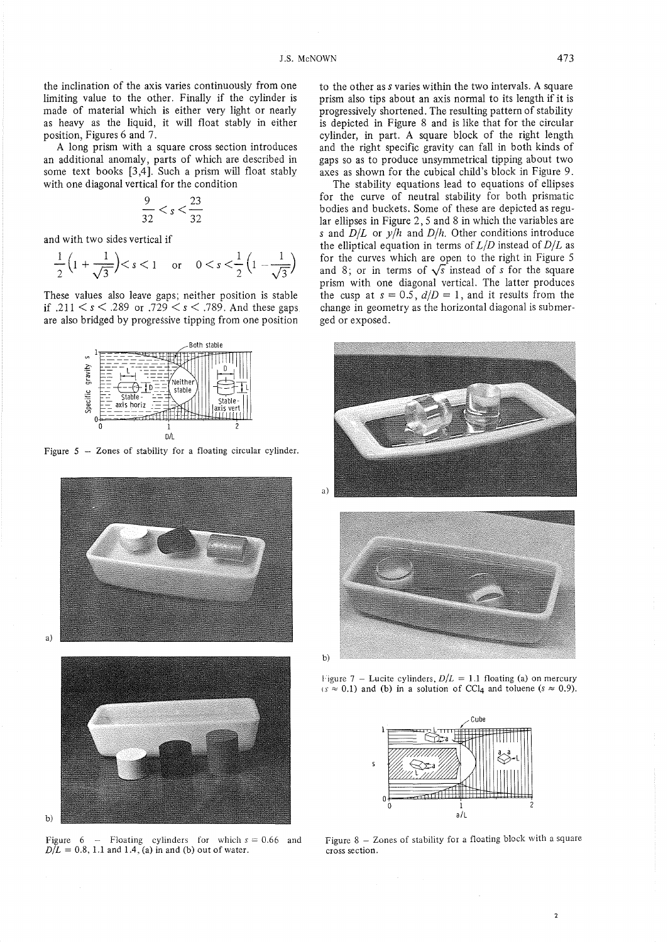the inclination of the axis varies continuously from one limiting value to the other. Finally if the cylinder is made of material which is either very light or nearly as heavy as the liquid, it will float stably in either position, Figures 6 and 7.

A long prism with a square cross section introduces an additional anomaly, parts of which are described in some text books [3,4]. Such a prism will float stably with one diagonal vertical for the condition

$$
\frac{9}{32} < s < \frac{23}{32}
$$

and with two sides vertical if

$$
\frac{1}{2}\left(1+\frac{1}{\sqrt{3}}\right) < s < 1 \quad \text{or} \quad 0 < s < \frac{1}{2}\left(1-\frac{1}{\sqrt{3}}\right)
$$

These values also leave gaps; neither position is stable if .211  $\lt s \lt 0.289$  or .729  $\lt s \lt 0.789$ . And these gaps are also bridged by progressive tipping from one position



Figure 5  $-$  Zones of stability for a floating circular cylinder.





Figure 6 – Floating cylinders for which  $s = 0.66$  and  $D/L = 0.8$ , 1.1 and 1.4, (a) in and (b) out of water.

 $<sub>b</sub>$ </sub>

to the other as s varies within the two intervals. A square prism also tips about an axis normal to its length if it is progressively shortened. The resulting pattern of stability is depicted in Figure 8 and is like that for the circular cylinder, in part. A square block of the right length and the right specific gravity can fall in both kinds of gaps so as to produce unsymmetrical tipping about two axes as shown for the cubical child's block in Figure 9.

The stability equations lead to equations of ellipses for the curve of neutral stability for both prismatic bodies and buckets. Some of these are depicted as regular ellipses in Figure 2, 5 and 8 in which the variables are s and  $D/L$  or  $y/h$  and  $D/h$ . Other conditions introduce the elliptical equation in terms of  $L/D$  instead of  $D/L$  as for the curves which are open to the right in Figure 5 and 8; or in terms of  $\sqrt{s}$  instead of s for the square prism with one diagonal vertical. The latter produces the cusp at  $s = 0.5$ ,  $d/D = 1$ , and it results from the change in geometry as the horizontal diagonal is submerged or exposed.





Figure 7 – Lucite cylinders,  $D/L = 1.1$  floating (a) on mercury  $(s \approx 0.1)$  and (b) in a solution of CCl<sub>4</sub> and toluene ( $s \approx 0.9$ ).



Figure 8 - Zones of stability for a floating block with a square cross section.

 $\overline{2}$